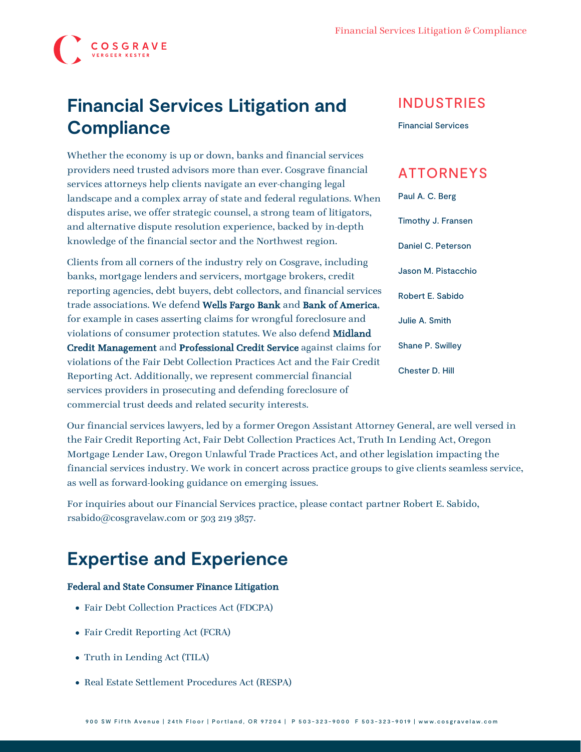

# **Financial Services Litigation and Compliance**

Whether the economy is up or down, banks and financial services providers need trusted advisors more than ever. Cosgrave financial services attorneys help clients navigate an ever-changing legal landscape and a complex array of state and federal regulations. When disputes arise, we offer strategic counsel, a strong team of litigators, and alternative dispute resolution experience, backed by in-depth knowledge of the financial sector and the Northwest region.

Clients from all corners of the industry rely on Cosgrave, including banks, mortgage lenders and servicers, mortgage brokers, credit reporting agencies, debt buyers, debt collectors, and financial services trade associations. We defend Wells Fargo Bank and Bank of America, for example in cases asserting claims for wrongful foreclosure and violations of consumer protection statutes. We also defend Midland Credit Management and Professional Credit Service against claims for violations of the Fair Debt Collection Practices Act and the Fair Credit Reporting Act. Additionally, we represent commercial financial services providers in prosecuting and defending foreclosure of commercial trust deeds and related security interests.

Our financial services lawyers, led by a former Oregon Assistant Attorney General, are well versed in the Fair Credit Reporting Act, Fair Debt Collection Practices Act, Truth In Lending Act, Oregon Mortgage Lender Law, Oregon Unlawful Trade Practices Act, and other legislation impacting the financial services industry. We work in concert across practice groups to give clients seamless service, as well as forward-looking guidance on emerging issues.

For inquiries about our Financial Services practice, please contact partner [Robert E. Sabido,](https://www.cosgravelaw.com/person/robert-e-sabido/) rsabido@cosgravelaw.com or 503 219 3857.

## **Expertise and Experience**

#### Federal and State Consumer Finance Litigation

- Fair Debt Collection Practices Act (FDCPA)
- Fair Credit Reporting Act (FCRA)
- Truth in Lending Act (TILA)
- Real Estate Settlement Procedures Act (RESPA)

### INDUSTRIES

[Financial Services](https://www.cosgravelaw.com/banking-financial-services-defense-attorneys/)

### ATTORNEYS

[Paul A. C. Berg](https://www.cosgravelaw.com/paul-berg-insurance-coverage/) [Timothy J. Fransen](https://www.cosgravelaw.com/tim-fransen-fdcpa-class-action-defense-attorney/) [Daniel C. Peterson](https://www.cosgravelaw.com/daniel-peterson-creditors-rights/) [Jason M. Pistacchio](https://www.cosgravelaw.com/jason-pistacchio-construction-lien-attorney/) [Robert E. Sabido](https://www.cosgravelaw.com/robert-sabido-financial-services/) [Julie A. Smith](https://www.cosgravelaw.com/julie-smith-appellate-litigation-services/) [Shane P. Swilley](https://www.cosgravelaw.com/shane-swilley-employment-law/) [Chester D. Hill](https://www.cosgravelaw.com/chester-hill-commercial-landlord-tenant-attorney/)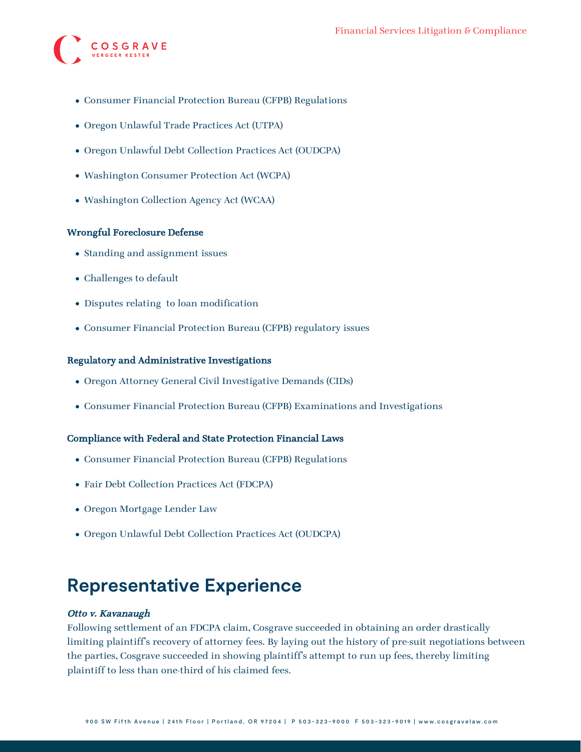

- Consumer Financial Protection Bureau (CFPB) Regulations
- Oregon Unlawful Trade Practices Act (UTPA)
- Oregon Unlawful Debt Collection Practices Act (OUDCPA)
- Washington Consumer Protection Act (WCPA)
- Washington Collection Agency Act (WCAA)

#### Wrongful Foreclosure Defense

- Standing and assignment issues
- Challenges to default
- Disputes relating to loan modification
- Consumer Financial Protection Bureau (CFPB) regulatory issues

#### Regulatory and Administrative Investigations

- Oregon Attorney General Civil Investigative Demands (CIDs)
- Consumer Financial Protection Bureau (CFPB) Examinations and Investigations

#### Compliance with Federal and State Protection Financial Laws

- Consumer Financial Protection Bureau (CFPB) Regulations
- Fair Debt Collection Practices Act (FDCPA)
- Oregon Mortgage Lender Law
- Oregon Unlawful Debt Collection Practices Act (OUDCPA)

### **Representative Experience**

#### Otto v. Kavanaugh

Following settlement of an FDCPA claim, Cosgrave succeeded in obtaining an order drastically limiting plaintiff's recovery of attorney fees. By laying out the history of pre-suit negotiations between the parties, Cosgrave succeeded in showing plaintiff's attempt to run up fees, thereby limiting plaintiff to less than one-third of his claimed fees.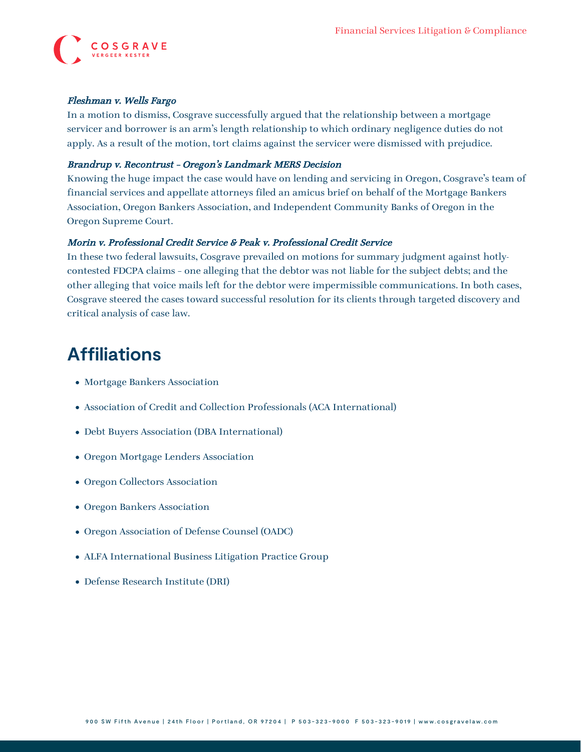

#### Fleshman v. Wells Fargo

In a motion to dismiss, Cosgrave successfully argued that the relationship between a mortgage servicer and borrower is an arm's length relationship to which ordinary negligence duties do not apply. As a result of the motion, tort claims against the servicer were dismissed with prejudice.

#### Brandrup v. Recontrust – Oregon's Landmark MERS Decision

Knowing the huge impact the case would have on lending and servicing in Oregon, Cosgrave's team of financial services and appellate attorneys filed an amicus brief on behalf of the Mortgage Bankers Association, Oregon Bankers Association, and Independent Community Banks of Oregon in the Oregon Supreme Court.

#### Morin v. Professional Credit Service & Peak v. Professional Credit Service

In these two federal lawsuits, Cosgrave prevailed on motions for summary judgment against hotlycontested FDCPA claims – one alleging that the debtor was not liable for the subject debts; and the other alleging that voice mails left for the debtor were impermissible communications. In both cases, Cosgrave steered the cases toward successful resolution for its clients through targeted discovery and critical analysis of case law.

## **Affiliations**

- Mortgage Bankers Association
- Association of Credit and Collection Professionals (ACA International)
- Debt Buyers Association (DBA International)
- Oregon Mortgage Lenders Association
- Oregon Collectors Association
- Oregon Bankers Association
- Oregon Association of Defense Counsel (OADC)
- ALFA International Business Litigation Practice Group
- Defense Research Institute (DRI)